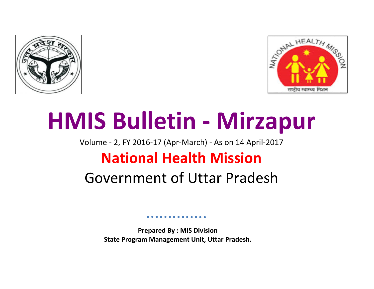



# **HMIS Bulletin - Mirzapur**

Volume - 2, FY 2016-17 (Apr-March) - As on 14 April-2017

## **National Health Mission**

# Government of Uttar Pradesh

**Prepared By : MIS Division State Program Management Unit, Uttar Pradesh.**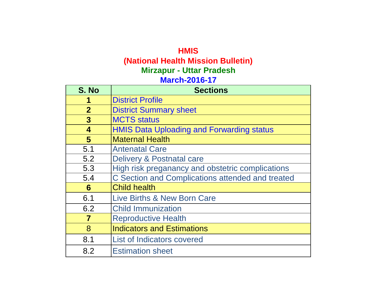### **HMIS (National Health Mission Bulletin) March-2016-17 Mirzapur - Uttar Pradesh**

| S. No                   | <b>Sections</b>                                  |
|-------------------------|--------------------------------------------------|
|                         | <b>District Profile</b>                          |
| $\overline{2}$          | <b>District Summary sheet</b>                    |
| 3                       | <b>MCTS</b> status                               |
| 4                       | <b>HMIS Data Uploading and Forwarding status</b> |
| $\overline{\mathbf{5}}$ | <b>Maternal Health</b>                           |
| 5.1                     | <b>Antenatal Care</b>                            |
| 5.2                     | Delivery & Postnatal care                        |
| 5.3                     | High risk preganancy and obstetric complications |
| 5.4                     | C Section and Complications attended and treated |
| 6                       | <b>Child health</b>                              |
| 6.1                     | Live Births & New Born Care                      |
| 6.2                     | <b>Child Immunization</b>                        |
| $\overline{\mathbf{7}}$ | <b>Reproductive Health</b>                       |
| 8                       | <b>Indicators and Estimations</b>                |
| 8.1                     | List of Indicators covered                       |
| 8.2                     | <b>Estimation sheet</b>                          |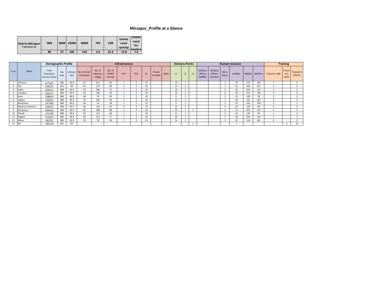#### **Mirzapur\_Profile at a Glance**

| <b>District Mirzapur</b><br>(*AHS 2012-13) | <b>IMR</b> | <b>NMR</b> | U5MR I | <b>MMR</b> | <b>TFR</b> | <b>CBR</b> | <b>Unmet</b><br>need<br>spacing | <b>Unmet</b><br>need<br>for<br>limiting |
|--------------------------------------------|------------|------------|--------|------------|------------|------------|---------------------------------|-----------------------------------------|
|                                            | 80         | 57         | 105    | 218        | 2.6        | 22.3       | 15.8                            | 7.6                                     |

|       |                  | <b>Demographic Profile</b>           |              |      |                                     |                              |                                  | Infrastructure |     |           |                              |      | <b>Delivery Points</b> |                          |                |                               |                                |                | <b>Human resource</b> |      |        | <b>Training</b>       |                              |                             |
|-------|------------------|--------------------------------------|--------------|------|-------------------------------------|------------------------------|----------------------------------|----------------|-----|-----------|------------------------------|------|------------------------|--------------------------|----------------|-------------------------------|--------------------------------|----------------|-----------------------|------|--------|-----------------------|------------------------------|-----------------------------|
| S.no. | <b>Block</b>     | Total<br>Population<br>(Census 2011) | Sex<br>ratio | rate | Literacy   No. of Gram<br>Panchayat | No. of<br>Revenue<br>Village | NO. of<br><b>VHSNC</b><br>formed | CHC            | PHC | <b>SC</b> | Private<br><b>Facilities</b> | AWCs | L1                     | L <sub>2</sub>           | L <sup>3</sup> | Medical<br>officers<br>(MBBS) | Medical<br>officers<br>(AYUSH) | SN in<br>block | # ANMs                | #AWW | #ASHAs | <b>Trained in SBA</b> | Traine<br>din<br><b>NSSK</b> | <b>Trained in</b><br>PPIUCD |
|       | Chhanve          | 277337                               | 980          | 69.9 | 97                                  | 207                          | 92                               |                |     | 31        |                              |      | 19                     |                          |                |                               |                                |                | 37                    | 270  | 169    |                       |                              |                             |
|       | City             | 236225                               | 851          | 84   | 87                                  | 172                          | 83                               |                |     | 29        |                              |      | 10                     | $\overline{\phantom{a}}$ |                |                               |                                |                | 31                    | 200  | 201    |                       |                              | $\Omega$                    |
|       | Hallia           | 226211                               | 980          | 69.9 | 79                                  | 196                          | 72                               |                |     | 19        |                              |      | 18                     |                          |                |                               |                                |                | 31                    | 204  | 174    |                       |                              |                             |
|       | Jamalpur         | 240127                               | 980          | 69.9 | 99                                  | 206                          | 93                               |                |     | 35        |                              |      | 19                     | $\mathcal{L}$            |                |                               |                                | $\mathbf{8}$   | 39                    | 315  | 189    |                       |                              | $\Omega$                    |
|       | Kone             | 108814                               | 980          | 69.9 | 44                                  | 74                           | 43                               |                |     | 14        |                              |      | 8                      |                          |                |                               |                                |                | 19                    | 140  | 78     |                       |                              | $\Omega$                    |
|       | Lalganj          | 136322                               | 980          | 69.9 | 53                                  | 183                          | 49                               |                |     |           |                              |      | 13                     |                          |                |                               |                                |                | 26                    | 125  | 107    |                       |                              |                             |
|       | Manjhwan         | 147380                               | 980          | 69.9 | 40                                  | 54                           | 38                               |                | 3   | 21        |                              |      | q                      |                          |                |                               |                                |                | 20                    | 163  | 138    |                       |                              |                             |
|       | Marihan Patehara | 133872                               | 980          | 69.9 | 50                                  | 131                          | 45                               |                |     | 14        |                              |      | 13                     |                          |                |                               |                                |                | 24                    | 136  | 99     | $\Omega$              |                              | $\Omega$                    |
|       | Naraynpur        | 206163                               | 980          | 69.9 | 96                                  | 188                          | 88                               |                |     | 28        |                              |      | 20                     |                          |                |                               |                                |                | 25                    | 359  | 174    |                       |                              |                             |
|       | Pahadi           | 131249                               | 980          | 69.9 | 46                                  | 115                          | 44                               |                |     | 18        |                              |      | 12                     |                          |                |                               |                                |                | 24                    | 144  | 94     |                       |                              |                             |
|       | Rajgarh          | 215425                               | 980          | 69.9 | 83                                  | 153                          | 77                               |                |     | 26        |                              |      | 20                     |                          |                |                               |                                |                | 39                    | 243  | 164    |                       |                              |                             |
| 12    | Sikhar           | 90278                                | 980          | 69.9 | 35                                  | 79                           | 34                               |                |     | 14        |                              |      | 14                     |                          |                |                               |                                |                | 15                    | 110  | 86     |                       |                              | $\Omega$                    |
| 13    | DH               | 345130                               | 851          | 84   |                                     |                              |                                  |                |     |           |                              |      |                        |                          |                |                               |                                |                |                       |      |        |                       |                              | 31                          |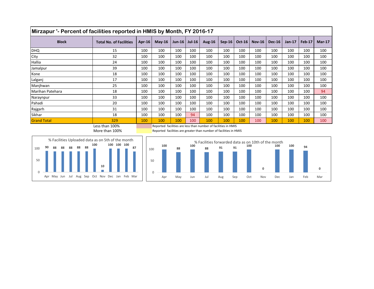| Mirzapur '- Percent of facilities reported in HMIS by Month, FY 2016-17 |                                |        |          |                    |          |               |          |               |               |               |               |        |          |  |
|-------------------------------------------------------------------------|--------------------------------|--------|----------|--------------------|----------|---------------|----------|---------------|---------------|---------------|---------------|--------|----------|--|
| <b>Block</b>                                                            | <b>Total No. of Facilities</b> | Apr-16 | $Mav-16$ | Jun-16 $\parallel$ | $Jul-16$ | <b>Aug-16</b> | $Sep-16$ | <b>Oct-16</b> | <b>Nov-16</b> | <b>Dec-16</b> | <b>Jan-17</b> | Feb-17 | $Mar-17$ |  |
| <b>DHQ</b>                                                              | 15                             | 100    | 100      | 100                | 100      | 100           | 100      | 100           | 100           | 100           | 100           | 100    | 100      |  |
| City                                                                    | 32                             | 100    | 100      | 100                | 100      | 100           | 100      | 100           | 100           | 100           | 100           | 100    | 100      |  |
| Hallia                                                                  | 24                             | 100    | 100      | 100                | 100      | 100           | 100      | 100           | 100           | 100           | 100           | 100    | 100      |  |
| Jamalpur                                                                | 39                             | 100    | 100      | 100                | 100      | 100           | 100      | 100           | 100           | 100           | 100           | 100    | 100      |  |
| Kone                                                                    | 18                             | 100    | 100      | 100                | 100      | 100           | 100      | 100           | 100           | 100           | 100           | 100    | 100      |  |
| Lalganj                                                                 | 17                             | 100    | 100      | 100                | 100      | 100           | 100      | 100           | 100           | 100           | 100           | 100    | 100      |  |
| Manjhwan                                                                | 25                             | 100    | 100      | 100                | 100      | 100           | 100      | 100           | 100           | 100           | 100           | 100    | 100      |  |
| Marihan Patehara                                                        | 18                             | 100    | 100      | 100                | 100      | 100           | 100      | 100           | 100           | 100           | 100           | 100    | 94       |  |
| Naraynpur                                                               | 33                             | 100    | 100      | 100                | 100      | 100           | 100      | 100           | 100           | 100           | 100           | 100    | 100      |  |
| Pahadi                                                                  | 20                             | 100    | 100      | 100                | 100      | 100           | 100      | 100           | 100           | 100           | 100           | 100    | 100      |  |
| Rajgarh                                                                 | 31                             | 100    | 100      | 100                | 100      | 100           | 100      | 100           | 100           | 100           | 100           | 100    | 100      |  |
| Sikhar                                                                  | 18                             | 100    | 100      | 100                | 94       | 100           | 100      | 100           | 100           | 100           | 100           | 100    | 100      |  |
| <b>Grand Total</b>                                                      | 329                            | 100    | 100      | 100                | 100      | 100           | 100      | 100           | 100           | 100           | 100           | 100    | 100      |  |

Less than 100% Reported facilities are less than number of facilities in HMIS More than 100% **Reported facilities are greater than number of facilities in HMIS** 



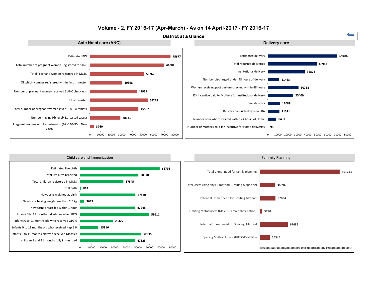

#### **Volume - 2, FY 2016-17 (Apr-March) - As on 14 April-2017 - FY 2016-17**

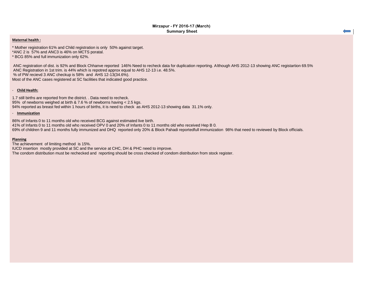$\overline{\phantom{0}}$ 

#### **Maternal health :**

\* Mother registration 61% and Child registration is only 50% against target. \*ANC 2 is 57% and ANC3 is 46% on MCTS poratal.

\* BCG 85% and full immunization only 62%.

ANC registration of dist. is 92% and Block Chhanve reported 146% Need to recheck data for duplication reporting. Although AHS 2012-13 showing ANC registartion 69.5% ANC Registration in 1st trim. is 44% which is repotred approx equal to AHS 12-13 i.e. 48.5%. % of PW recievd 3 ANC checkup is 58% and AHS 12-13(34.6%). Most of the ANC cases registered at SC facilities that indicated good practice.

#### - **Child Health:**

1.7 still births are reported from the district. . Data need to recheck. 95% of newborns weighed at birth & 7.6 % of newborns having < 2.5 kgs. 94% reported as breast fed within 1 hours of births, it is need to check as AHS 2012-13 showing data 31.1% only.

#### - **Immunization**

86% of Infants 0 to 11 months old who received BCG against estimated live birth.

41% of Infants 0 to 11 months old who received OPV 0 and 20% of Infants 0 to 11 months old who received Hep B 0.

69% of children 9 and 11 months fully immunized and DHQ reported only 20% & Block Pahadi reportedfull immunization 98% that need to reviewed by Block officials.

#### **Planning**

The achievement of limiting method is 15%.

IUCD insertion mostly provided at SC and the service at CHC, DH & PHC need to improve.

The condom distribution must be rechecked and reporting should be cross checked of condom distribution from stock register.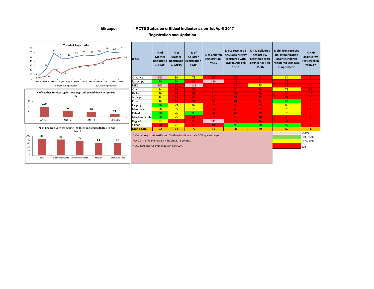#### **Mirzapur - MCTS Status on crititical indicator as on 1st April 2017**

#### **Registration and Updation**

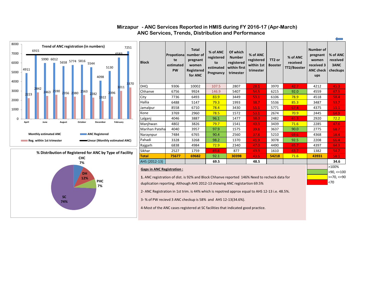

**CHC 7%**

**% Distribution of Registered for ANC by Type of Facility**

**DH 12%**

**SC 74%** **PHC 7%**

 $\blacksquare$ 

#### **Mirzapur - ANC Services Reported in HMIS during FY 2016-17 (Apr-March) ANC Services, Trends, Distribution and Performance**

| <b>Block</b>                                                                                    | Propotional<br>te<br>estimated<br><b>PW</b>                                                  | <b>Total</b><br>number of<br>pregnant<br>women<br>Registered<br>for ANC | % of ANC<br>registered<br>to<br>estimated<br>Pregnancy | Of which<br><b>Number</b><br>registered<br>within first<br>trimester | % of ANC<br>registered<br>within 1st<br>trimester | TT2 or<br><b>Booster</b> | % of ANC<br>received<br>TT2/Booster | Number of<br>pregnant<br>women<br>received 3<br><b>ANC check</b><br>ups | % of ANC<br>received<br>3ANC<br>checkups |  |  |  |  |
|-------------------------------------------------------------------------------------------------|----------------------------------------------------------------------------------------------|-------------------------------------------------------------------------|--------------------------------------------------------|----------------------------------------------------------------------|---------------------------------------------------|--------------------------|-------------------------------------|-------------------------------------------------------------------------|------------------------------------------|--|--|--|--|
| DHQ                                                                                             | 9306                                                                                         | 10002                                                                   | 107.5                                                  | 2807                                                                 | 28.1                                              | 3970                     | 42.7                                | 4212                                                                    | 45.3                                     |  |  |  |  |
| Chhanve                                                                                         | 6756                                                                                         | 9924                                                                    | 146.9                                                  | 5407                                                                 | 54.5                                              | 6215                     | 92.0                                | 4559                                                                    | 67.5                                     |  |  |  |  |
| City                                                                                            | 7736                                                                                         | 6493                                                                    | 83.9                                                   | 3449                                                                 | 53.1                                              | 6106                     | 78.9                                | 4518                                                                    | 58.4                                     |  |  |  |  |
| Hallia                                                                                          | 6488                                                                                         | 5147                                                                    | 79.3                                                   | 1993                                                                 | 38.7                                              | 5536                     | 85.3                                | 3487                                                                    | 53.7                                     |  |  |  |  |
| Jamalpur                                                                                        | 8558                                                                                         | 6710                                                                    | 78.4                                                   | 3430                                                                 | 51.1                                              | 5771                     | 67.4                                | 4375                                                                    | 51.1                                     |  |  |  |  |
| Kone                                                                                            | 3769                                                                                         | 2960                                                                    | 78.5                                                   | 1572                                                                 | 53.1                                              | 2674                     | 70.9                                | 2445                                                                    | 64.9                                     |  |  |  |  |
| Lalganj                                                                                         | 4046                                                                                         | 3887                                                                    | 96.1                                                   | 1477                                                                 | 38.0                                              | 2482                     | 61.3                                | 2920                                                                    | 72.2                                     |  |  |  |  |
| Manjhwan                                                                                        | 4802                                                                                         | 3826                                                                    | 79.7                                                   | 1541                                                                 | 40.3                                              | 3439                     | 71.6                                | 2285                                                                    | 47.6                                     |  |  |  |  |
| Marihan Pateha                                                                                  | 4040                                                                                         | 3957                                                                    | 97.9                                                   | 1575                                                                 | 39.8                                              | 3637                     | 90.0                                | 2775                                                                    | 68.7                                     |  |  |  |  |
| Naraynpur                                                                                       | 7484                                                                                         | 6765                                                                    | 90.4                                                   | 2560                                                                 | 37.8                                              | 5210                     | 69.6                                | 4368                                                                    | 58.4                                     |  |  |  |  |
| Pahadi                                                                                          | 3328                                                                                         | 3268                                                                    | 98.2                                                   | 1370                                                                 | 41.9                                              | 3078                     | 92.5                                | 2208                                                                    | 66.4                                     |  |  |  |  |
| Rajgarh                                                                                         | 6838                                                                                         | 4984                                                                    | 72.9                                                   | 2340                                                                 | 47.0                                              | 4490                     | 65.7                                | 4397                                                                    | 64.3                                     |  |  |  |  |
| Sikhar                                                                                          | 2527                                                                                         | 1759                                                                    | 69.6                                                   | 877                                                                  | 49.9                                              | 1610                     | 63.7                                | 1382                                                                    | 54.7                                     |  |  |  |  |
| <b>Total</b>                                                                                    | 75677                                                                                        | 69682                                                                   | 92.1                                                   | 30398                                                                | 43.6                                              | 54218                    | 71.6                                | 43931                                                                   | 58.1                                     |  |  |  |  |
| AHS (2012-13)                                                                                   |                                                                                              |                                                                         | 69.5                                                   |                                                                      | 48.5                                              |                          |                                     |                                                                         | 34.6                                     |  |  |  |  |
|                                                                                                 | <b>Gaps in ANC Registration:</b>                                                             |                                                                         |                                                        |                                                                      |                                                   |                          |                                     |                                                                         |                                          |  |  |  |  |
|                                                                                                 | 1. ANC registration of dist. is 92% and Block Chhanve reported 146% Need to recheck data for |                                                                         |                                                        |                                                                      |                                                   |                          |                                     |                                                                         |                                          |  |  |  |  |
|                                                                                                 | duplication reporting. Although AHS 2012-13 showing ANC registartion 69.5%                   |                                                                         |                                                        |                                                                      |                                                   |                          |                                     |                                                                         |                                          |  |  |  |  |
| 2- ANC Registration in 1st trim. is 44% which is repotred approx equal to AHS 12-13 i.e. 48.5%. |                                                                                              |                                                                         |                                                        |                                                                      |                                                   |                          |                                     |                                                                         |                                          |  |  |  |  |

 $\Leftarrow$ 

3- % of PW recievd 3 ANC checkup is 58% and AHS 12-13(34.6%).

4-Most of the ANC cases registered at SC facilities that indicated good practice.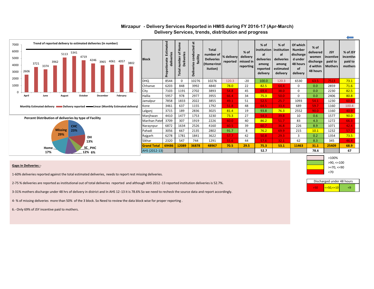| 7000<br>6000<br>5000<br>4000<br>3000 | 3721<br>2606             | 3962<br>3374                                      | 5113 | 5341<br>4719                                           | Trend of reported delivery to estimated deliveries (in number)<br>4246<br>3965                                     | 4061 4057 | 3802          | <b>Block</b>  | Estimated<br>Propotionate<br>deliv | Home<br>۵,<br>Deliveries<br>number<br>Total | 耑<br>cted<br>condu<br>facility<br>Deliveries | <b>Total</b><br>number of<br><b>Deliveries</b><br>(Home+Inst<br>itution) | % delivery | $%$ of<br>delivery<br>reported   missed in<br>reporting | % of<br>institution   institution<br>al<br>deliveries<br>among<br>reported<br>delivery | % of<br>al<br>deliveries<br>among<br>estimated<br>delivery | Of which<br><b>Number</b><br>discharge<br>d under<br>48 hours<br><b>of</b><br>delivery | $%$ of<br>delivered<br>women<br>discharge<br>d within<br>48 hours | <b>JSY</b><br>incentive<br>paid to<br><b>Mothers</b> | $\overline{}$<br>% of JSY<br>incentive<br>paid to<br>mothers |
|--------------------------------------|--------------------------|---------------------------------------------------|------|--------------------------------------------------------|--------------------------------------------------------------------------------------------------------------------|-----------|---------------|---------------|------------------------------------|---------------------------------------------|----------------------------------------------|--------------------------------------------------------------------------|------------|---------------------------------------------------------|----------------------------------------------------------------------------------------|------------------------------------------------------------|----------------------------------------------------------------------------------------|-------------------------------------------------------------------|------------------------------------------------------|--------------------------------------------------------------|
| 2000                                 |                          |                                                   |      |                                                        |                                                                                                                    |           |               | <b>DHQ</b>    | 8544                               | $\Omega$                                    | 10276                                        | 10276                                                                    | 120.3      | $-20$                                                   | 100.0                                                                                  | 120.3                                                      | 6530                                                                                   | 63.5                                                              | 7513                                                 | 73.1                                                         |
| 1000                                 |                          |                                                   |      |                                                        |                                                                                                                    |           |               | Chhanve       | 6203                               | 848                                         | 3992                                         | 4840                                                                     | 78.0       | 22                                                      | 82.5                                                                                   | 64.4                                                       | $\mathbf{0}$                                                                           | 0.0                                                               | 2859                                                 | 71.6                                                         |
|                                      |                          |                                                   |      |                                                        |                                                                                                                    |           |               | City          | 7103                               | 1191                                        | 2702                                         | 3893                                                                     | 54.8       | 45                                                      | 69.4                                                                                   | 38.0                                                       | $\mathbf{0}$                                                                           | 0.0                                                               | 2230                                                 | 82.5                                                         |
|                                      | April                    | October<br>February<br>December<br>June<br>August |      |                                                        |                                                                                                                    |           |               | Hallia        | 5957                               | 978                                         | 2977                                         | 3955                                                                     | 66.4       | 34                                                      | 75.3                                                                                   | 50.0                                                       | $\Omega$                                                                               | 0.0                                                               | 2406                                                 | 80.8                                                         |
|                                      |                          |                                                   |      |                                                        |                                                                                                                    |           |               | Jamalpur      | 7858                               | 1833                                        | 2022                                         | 3855                                                                     | 49.1       | 51                                                      | 52.5                                                                                   | 25.7                                                       | 1093                                                                                   | 54.1                                                              | 1230                                                 | 60.8                                                         |
|                                      |                          |                                                   |      |                                                        | Monthly Estimated delivery <b>New York</b> Delivery reported <b>Containery</b> Linear (Monthly Estimated delivery) |           |               | Kone          | 3461                               | 637                                         | 1155                                         | 1792                                                                     | 51.8       | 48                                                      | 64.5                                                                                   | 33.4                                                       | 689                                                                                    | 59.7                                                              | 1160                                                 | 100.4                                                        |
|                                      |                          |                                                   |      |                                                        |                                                                                                                    |           |               | Lalganj       | 3715                               | 189                                         | 2836                                         | 3025                                                                     | 81.4       | 19                                                      | 93.8                                                                                   | 76.3                                                       | 2552                                                                                   | 90.0                                                              | 1160                                                 | 40.9                                                         |
|                                      |                          |                                                   |      | Percent Distribution of deliveries by type of Facility |                                                                                                                    |           |               | Manjhwan      | 4410                               | 1477                                        | 1753                                         | 3230                                                                     | 73.3       | 27                                                      | 54.3                                                                                   | 39.8                                                       | 10                                                                                     | 0.6                                                               | 1577                                                 | 90.0                                                         |
|                                      |                          |                                                   |      |                                                        |                                                                                                                    |           |               | Marihan Patel | 3709                               | 307                                         | 1919                                         | 2226                                                                     | 60.0       | 40                                                      | 86.2                                                                                   | 51.7                                                       | 83                                                                                     | 4.3                                                               | 1272                                                 | 66.3                                                         |
|                                      |                          |                                                   |      | <b>CHC</b>                                             |                                                                                                                    |           |               | Naraynpur     | 6872                               | 1634                                        | 2526                                         | 4160                                                                     | 60.5       | 39                                                      | 60.7                                                                                   | 36.8                                                       | 226                                                                                    | 8.9                                                               | 1071                                                 | 42.4                                                         |
|                                      | <b>Missing</b><br>23%    |                                                   |      |                                                        |                                                                                                                    |           |               | Pahadi        | 3056                               | 667                                         | 2135                                         | 2802                                                                     | 91.7       | 8                                                       | 76.2                                                                                   | 69.9                                                       | 215                                                                                    | 10.1                                                              | 1232                                                 | 57.7                                                         |
|                                      | 29%<br>DH<br>13%         |                                                   |      |                                                        |                                                                                                                    |           | Rajgarh       | 6278          | 1781                               | 1841                                        | 3622                                         | 57.7                                                                     | 42         | 50.8                                                    | 29.3                                                                                   | 3                                                          | 0.2                                                                                    | 1354                                                              | 73.5                                                 |                                                              |
|                                      |                          |                                                   |      |                                                        |                                                                                                                    | Sikhar    | 2320          | 547           | 744                                | 1291                                        | 55.6                                         | 44                                                                       | 57.6       | 32.1                                                    | 62                                                                                     | 8.3                                                        | 345                                                                                    | 46.4                                                              |                                                      |                                                              |
|                                      | <b>SC_PHC</b><br>$Home_$ |                                                   |      |                                                        | <b>Grand Total</b>                                                                                                 | 69486     | 12089         | 36878         | 48967                              | 70.5                                        | 29.5                                         | 75.3                                                                     | 53.1       | 11463                                                   | 31.1                                                                                   | 25409                                                      | 68.9                                                                                   |                                                                   |                                                      |                                                              |
|                                      | 12% 6%<br>17%            |                                                   |      |                                                        |                                                                                                                    |           | AHS (2012-13) |               |                                    |                                             |                                              |                                                                          |            | 52.7                                                    |                                                                                        |                                                            | 78.6                                                                                   |                                                                   | 67                                                   |                                                              |

#### **Mirzapur - Delivery Services Reported in HMIS during FY 2016-17 (Apr-March) Delivery Services, trends, distribution and progress**

#### **Gaps in Deliveries :**-

1-60% deliveries reported against the total estimated deliveries, needs to report rest missing deliveries.

2-75 % deliveries are reported as institutional out of total deliveries reported and although AHS 2012 -13 reported institution deliveries is 52.7%.

3-31% mothers discharge under 48 hrs of delivery in district and In AHS 12-13 it is 78.6% So we need to recheck the source data and report accordingly.

4- % of missing deliveries more than 50% of the 3 block. So Need to review the data block wise for proper reporting .

6.- Only 69% of JSY incentive paid to mothers.



|  | Discharged under 48 hours |  |
|--|---------------------------|--|
|  | $2 = 50 2 = 10$           |  |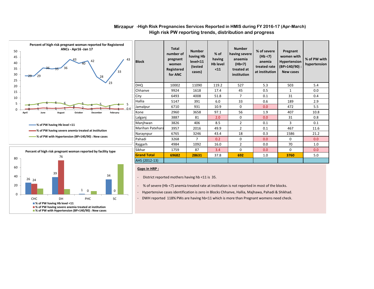

#### **Mirzapur -High Risk Pregnancies Services Reported in HMIS during FY 2016-17 (Apr-March) High risk PW reporting trends, distribution and progress**

**% of PW having severe anemia treated at institution**

**% of PW with Hypertension (BP>140/90) : New cases**



| <b>Block</b>       | <b>Total</b><br>number of<br>pregnant<br>women<br><b>Registered</b><br>for ANC | <b>Number</b><br>having Hb<br>level<11<br>(tested<br>cases) | $%$ of<br>having<br><b>Hb level</b><br>$11$ | <b>Number</b><br>having severe<br>anaemia<br>(Hb<7)<br>treated at<br>institution | % of severe<br>(Hb < 7)<br>anemia<br>treated rate<br>at institution | Pregnant<br>women with<br>Hypertension<br>$(BP>140/90)$ :<br><b>New cases</b> | % of PW with<br>hypertension |
|--------------------|--------------------------------------------------------------------------------|-------------------------------------------------------------|---------------------------------------------|----------------------------------------------------------------------------------|---------------------------------------------------------------------|-------------------------------------------------------------------------------|------------------------------|
| <b>DHQ</b>         | 10002                                                                          | 11090                                                       | 119.2                                       | 527                                                                              | 5.3                                                                 | 503                                                                           | 5.4                          |
| Chhanve            | 9924                                                                           | 1618                                                        | 17.4                                        | 45                                                                               | 0.5                                                                 | $\mathbf{1}$                                                                  | 0.0                          |
| City               | 6493                                                                           | 4008                                                        | 51.8                                        | $\overline{7}$                                                                   | 0.1                                                                 | 31                                                                            | 0.4                          |
| Hallia             | 5147                                                                           | 391                                                         | 6.0                                         | 33                                                                               | 0.6                                                                 | 189                                                                           | 2.9                          |
| Jamalpur           | 6710                                                                           | 931                                                         | 10.9                                        | $\Omega$                                                                         | 0.0                                                                 | 472                                                                           | 5.5                          |
| Kone               | 2960                                                                           | 3658                                                        | 97.1                                        | 56                                                                               | 1.9                                                                 | 407                                                                           | 10.8                         |
| Lalganj            | 3887                                                                           | 81                                                          | 2.0                                         | $\Omega$                                                                         | 0.0                                                                 | 31                                                                            | 0.8                          |
| Manjhwan           | 3826                                                                           | 406                                                         | 8.5                                         | $\overline{2}$                                                                   | 0.1                                                                 | ξ                                                                             | 0.1                          |
| Marihan Patehara   | 3957                                                                           | 2016                                                        | 49.9                                        | $\overline{2}$                                                                   | 0.1                                                                 | 467                                                                           | 11.6                         |
| Naraynpur          | 6765                                                                           | 3246                                                        | 43.4                                        | 18                                                                               | 0.3                                                                 | 1586                                                                          | 21.2                         |
| Pahadi             | 3268                                                                           | $\overline{7}$                                              | 0.2                                         | $\Omega$                                                                         | 0.0                                                                 | $\Omega$                                                                      | 0.0                          |
| Rajgarh            | 4984                                                                           | 1092                                                        | 16.0                                        | $\overline{2}$                                                                   | 0.0                                                                 | 70                                                                            | 1.0                          |
| Sikhar             | 1759                                                                           | 87                                                          | 3.4                                         | $\Omega$                                                                         | 0.0                                                                 | 0                                                                             | 0.0                          |
| <b>Grand Total</b> | 69682                                                                          | 28631                                                       | 37.8                                        | 692                                                                              | 1.0                                                                 | 3760                                                                          | 5.0                          |
| AHS (2012-13)      |                                                                                |                                                             |                                             |                                                                                  |                                                                     |                                                                               |                              |

#### **Gaps in HRP :**

- District reported mothers having hb <11 is 35.

- % of severe (Hb <7) anemia treated rate at institution is not reported in most of the blocks.

- Hypertensive cases identification is zero in Blocks Chhanve, Hallia, Majhawa, Pahadi & Shikhad.
- DWH reported 118% PWs are having hb<11 which is more than Pregnant womens need check.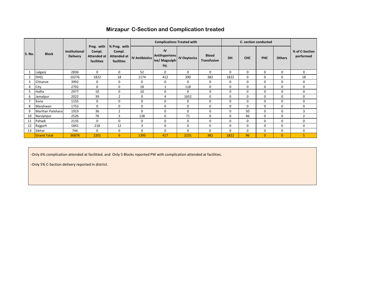#### **Mirzapur C-Section and Complication treated**

|                |                    |                                         |                                                   |                                                            |                       | <b>Complications Treated with</b>            |                     |                                    |          |              | C- section conducted |                |                             |
|----------------|--------------------|-----------------------------------------|---------------------------------------------------|------------------------------------------------------------|-----------------------|----------------------------------------------|---------------------|------------------------------------|----------|--------------|----------------------|----------------|-----------------------------|
| <b>S. No.</b>  | <b>Block</b>       | <b>Institutional</b><br><b>Delivery</b> | Preg. with<br>Compl.<br>Attended at<br>facilities | % Preg. with<br>Compl.<br><b>Attended at</b><br>facilities | <b>IV Antibiotics</b> | IV<br>Antihypertens<br>ive/ Magsulph<br>Inj. | <b>IV Oxytocics</b> | <b>Blood</b><br><b>Transfusion</b> | DH       | <b>CHC</b>   | <b>PHC</b>           | <b>Others</b>  | % of C-Section<br>performed |
|                | Lalganj            | 2836                                    | $\Omega$                                          | $\mathbf 0$                                                | 52                    | 0                                            | $\Omega$            | $\Omega$                           | $\Omega$ | 0            | $\Omega$             | 0              | $\Omega$                    |
| $\overline{2}$ | <b>DHQ</b>         | 10276                                   | 1822                                              | 18                                                         | 1174                  | 412                                          | 390                 | 382                                | 1822     | $\Omega$     | $\Omega$             | 0              | 18                          |
| 3              | Chhanve            | 3992                                    | 0                                                 | 0                                                          | $\mathbf 0$           | 0                                            | $\mathbf 0$         | 0                                  | 0        | $\mathbf{0}$ | $\mathbf 0$          | 0              | $\mathbf 0$                 |
| 4              | City               | 2702                                    | $\Omega$                                          | $\mathbf 0$                                                | 18                    |                                              | 118                 | $\Omega$                           | $\Omega$ | $\Omega$     | $\Omega$             | 0              | $\mathbf 0$                 |
| 5              | Hallia             | 2977                                    | 10                                                | $\mathbf 0$                                                | 10                    | $\mathbf 0$                                  | $\mathbf 0$         | $\Omega$                           | $\Omega$ | $\mathbf 0$  | $\Omega$             | 0              | $\mathbf 0$                 |
| 6              | Jamalpur           | 2022                                    | 39                                                | $\overline{2}$                                             | 0                     | 4                                            | 1652                | $\mathbf 0$                        | 0        | $\mathbf{0}$ | $\mathbf 0$          | 0              | 0                           |
|                | Kone               | 1155                                    | 0                                                 | $\mathbf 0$                                                | 0                     | $\mathbf 0$                                  | 0                   | $\Omega$                           | $\Omega$ | $\mathbf{0}$ | $\Omega$             | 0              | $\mathbf 0$                 |
| 8              | Manjhwan           | 1753                                    | $\Omega$                                          | $\mathbf 0$                                                | 0                     | $\mathbf 0$                                  | $\mathbf 0$         | $\Omega$                           | $\Omega$ | $\Omega$     | $\Omega$             | 0              | 0                           |
| 9              | Marihan Patehara   | 1919                                    | 36                                                | $\overline{2}$                                             | $\Omega$              | $\mathbf 0$                                  | $\Omega$            | $\Omega$                           | $\Omega$ | 50           | $\Omega$             | 0              | 3                           |
| 10             | Naraynpur          | 2526                                    | 76                                                | 3                                                          | 138                   | $\mathbf 0$                                  | 71                  | $\Omega$                           | $\Omega$ | 46           | $\Omega$             | 0              | $\overline{2}$              |
| 11             | Pahadi             | 2135                                    | 0                                                 | $\mathbf 0$                                                | $\mathbf 0$           | $\mathbf 0$                                  | $\mathbf 0$         | 0                                  | 0        | 0            | 0                    | 0              | 0                           |
| 12             | Rajgarh            | 1841                                    | 218                                               | 12                                                         | 3                     | $\mathbf 0$                                  | 0                   | $\Omega$                           | $\Omega$ | $\Omega$     | $\Omega$             | 0              | 0                           |
| 13             | Sikhar             | 744                                     | $\Omega$                                          | 0                                                          | $\mathbf 0$           | $\mathbf 0$                                  | $\Omega$            | $\Omega$                           | $\Omega$ | $\Omega$     | $\Omega$             | 0              | 0                           |
|                | <b>Grand Total</b> | 36878                                   | 2201                                              | 6                                                          | 1395                  | 417                                          | 2231                | 382                                | 1822     | 96           | $\mathbf{0}$         | $\overline{0}$ | 5                           |

-Only 6% complication attended at facilitied. and Only 5 Blocks reported PW with complication attended at facilities.

-Only 5% C-Section delivery reported in district.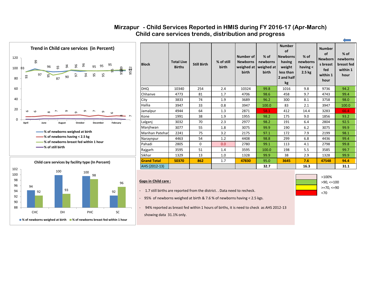



| <b>Block</b>           | <b>Total Live</b><br><b>Births</b> | <b>Still Birth</b> | % of still<br>birth | Number of<br><b>Newborns</b><br>weighed at<br>birth | $%$ of<br>newborns<br>weighed at<br>birth | <b>Number</b><br>of<br><b>Newborns</b><br>having<br>weight<br>less than<br>2 and half<br>kg | $%$ of<br>newborns<br>having $\lt$<br>2.5 <sub>kg</sub> | <b>Number</b><br>of<br><b>Newborn</b><br>s breast<br>fed<br>within 1<br>hour | $%$ of<br>newborns<br>breast fed<br>within 1<br>hour |
|------------------------|------------------------------------|--------------------|---------------------|-----------------------------------------------------|-------------------------------------------|---------------------------------------------------------------------------------------------|---------------------------------------------------------|------------------------------------------------------------------------------|------------------------------------------------------|
| <b>DHQ</b>             | 10340                              | 254                | 2.4                 | 10324                                               | 99.8                                      | 1016                                                                                        | 9.8                                                     | 9736                                                                         | 94.2                                                 |
| Chhanve                | 4773                               | 81                 | 1.7                 | 4706                                                | 98.6                                      | 458                                                                                         | 9.7                                                     | 4743                                                                         | 99.4                                                 |
| City                   | 3833                               | 74                 | 1.9                 | 3689                                                | 96.2                                      | 300                                                                                         | 8.1                                                     | 3758                                                                         | 98.0                                                 |
| Hallia                 | 3947                               | 33                 | 0.8                 | 3947                                                | 100.0                                     | 83                                                                                          | 2.1                                                     | 3947                                                                         | 100.0                                                |
| Jamalpur               | 4944                               | 64                 | 1.3                 | 2871                                                | 58.1                                      | 412                                                                                         | 14.4                                                    | 3283                                                                         | 66.4                                                 |
| Kone                   | 1991                               | 38                 | 1.9                 | 1955                                                | 98.2                                      | 175                                                                                         | 9.0                                                     | 1856                                                                         | 93.2                                                 |
| Lalganj                | 3032                               | 70                 | 2.3                 | 2977                                                | 98.2                                      | 191                                                                                         | 6.4                                                     | 2804                                                                         | 92.5                                                 |
| Manjhwan               | 3077                               | 55                 | 1.8                 | 3075                                                | 99.9                                      | 190                                                                                         | 6.2                                                     | 3075                                                                         | 99.9                                                 |
| <b>Marihan Patehar</b> | 2241                               | 75                 | 3.2                 | 2175                                                | 97.1                                      | 172                                                                                         | 7.9                                                     | 2199                                                                         | 98.1                                                 |
| Naraynpur              | 4463                               | 54                 | 1.2                 | 4408                                                | 98.8                                      | 299                                                                                         | 6.8                                                     | 4436                                                                         | 99.4                                                 |
| Pahadi                 | 2805                               | $\Omega$           | 0.0                 | 2780                                                | 99.1                                      | 113                                                                                         | 4.1                                                     | 2798                                                                         | 99.8                                                 |
| Rajgarh                | 3595                               | 51                 | 1.4                 | 3595                                                | 100.0                                     | 198                                                                                         | 5.5                                                     | 3585                                                                         | 99.7                                                 |
| Sikhar                 | 1329                               | 13                 | 1.0                 | 1328                                                | 99.9                                      | 38                                                                                          | 2.9                                                     | 1328                                                                         | 99.9                                                 |
| <b>Grand Total</b>     | 50370                              | 862                | 1.7                 | 47830                                               | 95.0                                      | 3645                                                                                        | 7.6                                                     | 47548                                                                        | 94.4                                                 |
| AHS (2012-13)          |                                    |                    |                     |                                                     | 32.7                                      |                                                                                             | 16.3                                                    |                                                                              | 31.1                                                 |

### **Mirzapur - Child Services Reported in HMIS during FY 2016-17 (Apr-March) Child care services trends, distribution and progress**

#### **Gaps in Child care :**

- 1.7 still births are reported from the district. . Data need to recheck.

- 95% of newborns weighed at birth & 7.6 % of newborns having < 2.5 kgs.

- 94% reported as breast fed within 1 hours of births, it is need to check as AHS 2012-13 showing data 31.1% only.



÷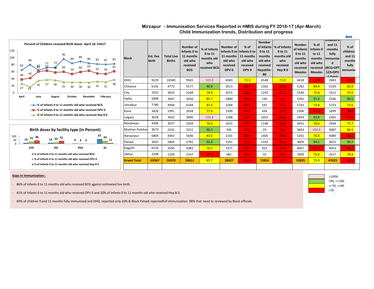#### **Child Immunization trends, Distribution and progress Mirzapur - Immunisation Services Reported in HMIS during FY 2016-17 (Apr-March)**

| Percent of Children received Birth doses April 16-Feb17<br>120<br>96<br>89<br>100<br>84<br>84<br>83<br>82<br>80<br>80<br>65<br>61<br>60<br>60<br>38 | <b>Block</b>           | Est. live<br>birth | <b>Total Live</b><br><b>Births</b> | Number of<br>Infants 0 to<br>11 months<br>old who<br>received<br><b>BCG</b> | % of Infants<br>0 to 11<br>months old<br>who<br>received BCG | Number of<br>11 months<br>old who<br>received<br>OPV <sub>0</sub> | $%$ of<br>Infants 0 to   Infants 0 to<br>11 months<br>old who<br>received<br>OPV <sub>0</sub> | <b>Number</b><br>of Infants<br>0 to 11<br>months<br>old who<br>received<br>Hepatitis-<br>B <sub>0</sub> | % of Infants<br>0 to 11<br>months old<br>who<br>received<br>Hep B <sub>0</sub> | <b>Number</b><br>of Infants<br>0 to 11<br>months<br>old who<br>received<br><b>Measles</b> | % of<br>Infants 0<br>to 11<br>months<br>old who<br><b>Measles</b> | cniiaren 9<br>and 11<br>months<br>fully<br><i>immunize</i><br>d<br>received (BCG+DPT<br>123+OPV<br>$1.$ Total | $%$ of<br>children<br>and 11<br>months<br>fully<br><i>immunize</i> |
|-----------------------------------------------------------------------------------------------------------------------------------------------------|------------------------|--------------------|------------------------------------|-----------------------------------------------------------------------------|--------------------------------------------------------------|-------------------------------------------------------------------|-----------------------------------------------------------------------------------------------|---------------------------------------------------------------------------------------------------------|--------------------------------------------------------------------------------|-------------------------------------------------------------------------------------------|-------------------------------------------------------------------|---------------------------------------------------------------------------------------------------------------|--------------------------------------------------------------------|
| 40                                                                                                                                                  | DHQ                    | 9229               | 10340                              | 9565                                                                        | 103.6                                                        | 6583                                                              | 71.3                                                                                          | 6548                                                                                                    | 71.0                                                                           | 4418                                                                                      | 47.9                                                              | 2683                                                                                                          | 29.1                                                               |
| 36<br>20<br>31<br>27<br>17                                                                                                                          | Chhanve                | 6142               | 4773                               | 5577                                                                        | 90.8                                                         | 3013                                                              | 49.1                                                                                          | 1362                                                                                                    | 22.2                                                                           | 5182                                                                                      | 84.4                                                              | 5150                                                                                                          | 83.9                                                               |
|                                                                                                                                                     | City                   | 7032               | 3833                               | 5268                                                                        | 74.9                                                         | 2015                                                              | 28.7                                                                                          | 1242                                                                                                    | 17.7                                                                           | 5330                                                                                      | 75.8                                                              | 5312                                                                                                          | 75.5                                                               |
| April<br>February<br>October<br>December<br>June<br>August                                                                                          | Hallia                 | 5898               | 3947                               | 5056                                                                        | 85.7                                                         | 2880                                                              | 48.8                                                                                          | 136                                                                                                     | 2.3                                                                            | 5392                                                                                      | 91.4                                                              | 5336                                                                                                          | 90.5                                                               |
| → % of Infants 0 to 11 months old who received BCG                                                                                                  | Jamalpur               | 7780               | 4944                               | 6344                                                                        | 81.5                                                         | 2284                                                              | 29.4                                                                                          | 191                                                                                                     | 2.5                                                                            | 5743                                                                                      | 73.8                                                              | 5723                                                                                                          | 73.6                                                               |
| - <sup>1</sup> % of Infants 0 to 11 months old who received OPV 0                                                                                   | Kone                   | 3426               | 1991                               | 2658                                                                        | 77.6                                                         | 1500                                                              | 43.8                                                                                          | 436                                                                                                     | 12.7                                                                           | 2306                                                                                      | 67.3                                                              | 1699                                                                                                          | 49.6                                                               |
| -* % of Infants 0 to 11 months old who received Hep B 0                                                                                             | Lalganj                | 3678               | 3032                               | 3890                                                                        | 105.8                                                        | 1588                                                              | 43.2                                                                                          | 1053                                                                                                    | 28.6                                                                           | 3454                                                                                      | 93.9                                                              | 2465                                                                                                          | 67.0                                                               |
|                                                                                                                                                     | Manihwan               | 4366               | 3077                               | 3344                                                                        | 76.6                                                         | 1655                                                              | 37.9                                                                                          | 1148                                                                                                    | 26.3                                                                           | 3431                                                                                      | 78.6                                                              | 3394                                                                                                          | 77.7                                                               |
| Birth doses by facility type (in Percent)                                                                                                           | <b>Marihan Patehar</b> | 3673               | 2241                               | 3551                                                                        | 96.7                                                         | 595                                                               | 16.2                                                                                          | 29                                                                                                      | 0.8                                                                            | 3693                                                                                      | 100.6                                                             | 3087                                                                                                          | 84.1                                                               |
| 67<br>100<br>42<br>14 22 41<br>31                                                                                                                   | Naraynpur              | 6804               | 4463                               | 5646                                                                        | 83.0                                                         | 2101                                                              | 30.9 <sub>1</sub>                                                                             | 1405                                                                                                    | 20.6                                                                           | 5201                                                                                      | 76.4                                                              | 4089                                                                                                          | 60.1                                                               |
| 14<br>50<br>11<br>642                                                                                                                               | Pahadi                 | 3025               | 2805                               | 2782                                                                        | 92.0                                                         | 1561                                                              | 51.6                                                                                          | 1333                                                                                                    | 44.1                                                                           | 3009                                                                                      | 99.5                                                              | 3015                                                                                                          | 99.7                                                               |
| CHC<br>SC<br>DH<br><b>PHC</b>                                                                                                                       | Rajgarh                | 6216               | 3595                               | 4383                                                                        | 70.5                                                         | 1971                                                              | 31.7                                                                                          | 923                                                                                                     | 14.8                                                                           | 4067                                                                                      | 65.4                                                              | 4053                                                                                                          | 65.2                                                               |
| ■% of Infants 0 to 11 months old who received BCG                                                                                                   | Sikhar                 | 2298               | 1329                               | 1547                                                                        | 67.3                                                         | 681                                                               | 29.6                                                                                          | 10                                                                                                      | 0.4                                                                            | 1609                                                                                      | 70.0                                                              | 1617                                                                                                          | 70.4                                                               |
| ■% of Infants 0 to 11 months old who received OPV 0                                                                                                 | <b>Grand Total</b>     | 69567              | 50370                              | 59611                                                                       | 85.7                                                         | 28427                                                             | 40.9                                                                                          | 15816                                                                                                   | 22.7                                                                           | 52835                                                                                     | 75.9                                                              | 47623                                                                                                         | 68.5                                                               |
| ■% of Infants 0 to 11 months old who received Hep B 0                                                                                               |                        |                    |                                    |                                                                             |                                                              |                                                                   |                                                                                               |                                                                                                         |                                                                                |                                                                                           |                                                                   |                                                                                                               |                                                                    |

#### **Gaps in Immunization :**

- 86% of Infants 0 to 11 months old who received BCG against estimated live birth.
- 41% of Infants 0 to 11 months old who received OPV 0 and 20% of Infants 0 to 11 months old who received Hep B 0.
- 69% of children 9 and 11 months fully immunized and DHQ reported only 20% & Block Pahadi reportedfull immunization 98% that need to reviewed by Block officials.



 $\leftarrow$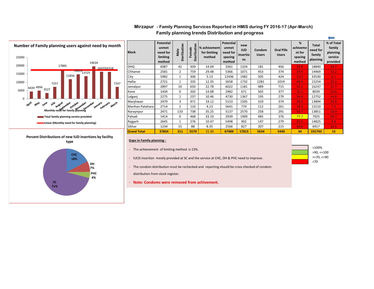#### **Family planning trends Distribution and progress Mirzapur - Family Planning Services Reported in HMIS during FY 2016-17 (Apr-March)**



| <b>Block</b>       | <b>Potential</b><br>unmet<br>need for<br>limiting<br>method | Sterilization<br>Male | Sterilization<br>Female | % achivement<br>for limiting<br>method | <b>Potential</b><br>unmet<br>need for<br>spacing<br>method | new<br><b>IUD</b><br>Insertio<br>ns | Condom<br><b>Users</b> | <b>Oral Pills</b><br><b>Users</b> | %<br>achiveme<br>nt for<br>spacing<br>method | <b>Total</b><br>need for<br>family<br>planning | % of Total<br>family<br>planning<br>service<br>provided |
|--------------------|-------------------------------------------------------------|-----------------------|-------------------------|----------------------------------------|------------------------------------------------------------|-------------------------------------|------------------------|-----------------------------------|----------------------------------------------|------------------------------------------------|---------------------------------------------------------|
| <b>DHQ</b>         | 6987                                                        | 42                    | 939                     | 14.04                                  | 3361                                                       | 1324                                | 181                    | 456                               | 53.0                                         | 18840                                          | 14.7                                                    |
| Chhanve            | 2581                                                        | 2                     | 759                     | 29.48                                  | 5366                                                       | 1071                                | 453                    | 374                               | 26.9                                         | 14469                                          | 15.2                                                    |
| City               | 5982                                                        | 1                     | 306                     | 5.13                                   | 12436                                                      | 1982                                | 505                    | 424                               | 19.3                                         | 33530                                          | 8.1                                                     |
| Hallia             | 2721                                                        | 1                     | 335                     | 12.35                                  | 5658                                                       | 1732                                | 1281                   | 1019                              | 48.6                                         | 15254                                          | 20.2                                                    |
| Jamalpur           | 2897                                                        | 10                    | 650                     | 22.78                                  | 6022                                                       | 1181                                | 989                    | 715                               | 31.5                                         | 16237                                          | 15.7                                                    |
| Kone               | 1434                                                        | 0                     | 202                     | 14.08                                  | 2982                                                       | 671                                 | 502                    | 377                               | 35.2                                         | 8039                                           | 15.6                                                    |
| Lalganj            | 2275                                                        | 1                     | 237                     | 10.46                                  | 4730                                                       | 1367                                | 195                    | 279                               | 34.8                                         | 12752                                          | 14.8                                                    |
| Manjhwan           | 2479                                                        | 3                     | 471                     | 19.12                                  | 5153                                                       | 1505                                | 319                    | 374                               | 36.5                                         | 13894                                          | 16.9                                                    |
| Marihan Patehara   | 2714                                                        | 2                     | 110                     | 4.13                                   | 5641                                                       | 774                                 | 112                    | 261                               | 18.3                                         | 15210                                          | 7.5                                                     |
| Naraynpur          | 2471                                                        | 133                   | 738                     | 35.25                                  | 5137                                                       | 2570                                | 258                    | 291                               | 55.7                                         | 13851                                          | 26.9                                                    |
| Pahadi             | 1414                                                        | 0                     | 468                     | 33.10                                  | 2939                                                       | 1909                                | 485                    | 376                               | 77.7                                         | 7925                                           | 34.7                                                    |
| Rajgarh            | 2645                                                        | 1                     | 276                     | 10.47                                  | 5498                                                       | 902                                 | 147                    | 279                               | 21.5                                         | 14825                                          | 9.8                                                     |
| Sikhar             | 1234                                                        | 15                    | 88                      | 8.35                                   | 2566                                                       | 827                                 | 207                    | 215                               | 40.6                                         | 6917                                           | 16.5                                                    |
| <b>Grand Total</b> | 37834                                                       | 211                   | 5579                    | 15.30                                  | 67489                                                      | 17815                               | 5634                   | 5440                              | 34                                           | 191743                                         | 15                                                      |

- The achievement of limiting method is 15%.
- IUCD insertion mostly provided at SC and the service at CHC, DH & PHC need to improve.

- The condom distribution must be rechecked and reporting should be cross checked of condom distribution from stock register.

- **Note: Condoms were removed from achivement.**



 $\overline{\phantom{0}}$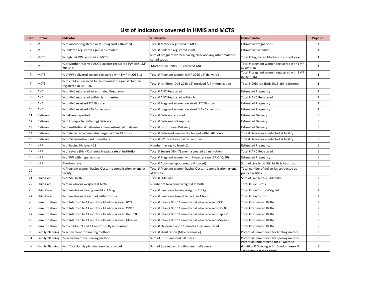#### **List of Indicators covered in HMIS and MCTS**

| <b>MCTS</b><br>1<br>% of mother registered in MCTS against estimated<br>3<br>Total # Mother registered in MCTS<br><b>Estimated Pregnancies</b><br>$\overline{2}$<br><b>MCTS</b><br>Total # Children registered in MCTS<br><b>Estimated live births</b><br>3<br>% Children registered against estimated<br>Sum of pregnant women having hb<7 and any other maternal<br><b>MCTS</b><br>3<br>3<br>% High risk PW reported in MCTS<br>Total # Registered Mothers in current year<br>complication<br>% of Mother received ANC 3 against registered PW with LMP<br>Total # pregnant women registered with LMP<br><b>MCTS</b><br>3<br>Mother (LMP 2015-16) received ANC 3<br>4<br>2015-16<br>in 2015-16<br>Total # pregnant women registered with LMP<br><b>MCTS</b><br>3<br>5<br>% of PW delivered against registered with LMP in 2015-16<br>Total # Pregnant women (LMP 2015-16) delivered<br>in 2015-16)<br>% of children received full immunization against children<br>3<br>6<br><b>MCTS</b><br>Total # children (DoB 2015-16) received full immunization<br>Total # Children (DoB 2015-16) registered<br>registered in 2015-16<br>$\overline{7}$<br><b>ANC</b><br>% of ANC registered to estimated Pregnancy<br>4<br>Total # ANC Registered<br><b>Estimated Pregnancy</b><br>8<br>$\overline{4}$<br><b>ANC</b><br>% of ANC registered within 1st trimester<br>Total # ANC Registered within 1st trim<br>Total # ANC Registered<br>9<br>ANC<br>% of ANC received TT2/Booster<br>$\overline{4}$<br>Total # Pregnant women received TT2/Booster<br><b>Estimated Pregnancy</b><br>ANC<br>4<br>10<br>% of ANC received 3ANC checkups<br>Total # pregnant women received 3 ANC check ups<br><b>Estimated Pregnancy</b><br>5<br>Delivery<br>% delivery reported<br>11<br>Total # Delivery reported<br><b>Estimated Delivery</b><br>5<br>12<br>% of Unreported (Missing) Delivery<br>Delivery<br>Total # Deliviery not reported<br><b>Estimated Delivery</b><br>5<br>13<br>Delivery<br>% of institutional deliveries among estimated delivery<br>Total # Institutional Deliviery<br><b>Estimated Delivery</b><br>5<br>14<br>% of delivered women discharged within 48 hours<br>Total # Delivered women discharged within 48 hours<br>Delivery<br>Tota # Deliveries conducted at facility<br>5<br>15<br>Delivery<br>% of JSY incentive paid to mothers<br>Total # JSY Incentives paid to mothers<br>Tota # Deliveries conducted at facility<br>6<br>16<br><b>HRP</b><br>% of having Hb level <11<br>Number having Hb level<11<br><b>Estimated Pregnancy</b><br>6<br><b>HRP</b><br>17<br>% of severe (Hb <7) anemia treated rate at institution<br>Total # Severe (Hb <7) anemia treated at institution<br>Total # ANC Registered<br><b>HRP</b><br>6<br>18<br>% of PW with hypertension<br>Total # Pregnant women with Hypertension (BP>140/90)<br><b>Estimated Pregnancy</b><br>19<br><b>HRP</b><br>6<br>Abortion rate<br>Total # Abortion (spontaneous/induced)<br>Sum of Live birth, Still birth & Abortion<br>% Pregnant women having Obstetric complication attend at<br>Total # Pregnant women having Obstetric complication attend<br>Total number of deliveries conducted at<br>20<br><b>HRP</b><br>facility<br>at facility<br>public facilities<br>$\overline{7}$<br>21<br>Child Care<br>% of Still birth<br>Total # Still Birth<br>Sum of Live birth & Still birth<br>22<br>$\overline{7}$<br>Child Care<br>% of newborns weighed at birth<br>Number of Newborns weighed at birth<br>Total # Live Births<br>$\overline{7}$<br>Child Care<br>Total # Live Births Weighed<br>23<br>% of newborns having weight < 2.5 kg<br>Total # newborns having weight < 2.5 kg<br>$\overline{7}$<br>24<br>Child Care<br>Total # Live Births<br>% of newborns breast fed within 1 hour<br>Total # newborns breast fed within 1 hour<br>8<br>25<br>% of Infants 0 to 11 months old who received BCG<br>Total # Estimated Births<br>Immunization<br>Total # Infants 0 to 11 months old who received BCG<br>8<br>26<br>Immunization<br>% of Infants 0 to 11 months old who received OPV 0<br>Total # Infants 0 to 11 months old who received OPV 0<br>Total # Estimated Births<br>8<br>27<br>Immunization<br>% of Infants 0 to 11 months old who received Hep B 0<br>Total # Infants 0 to 11 months old who received Hep B 0<br>Total # Estimated Births<br>8<br>28<br>Immunization<br>% of Infants 0 to 11 months old who received Measles<br>Total # Infants 0 to 11 months old who received Measles<br>Total # Estimated Births<br>29<br>% of children 9 and 11 months fully immunized<br>8<br>Immunization<br>Total # children 9 and 11 months fully immunized<br>Total # Estimated Births<br>30<br>9<br>% achivement for limiting method<br><b>Family Planning</b><br>Total # Sterilization (Male & Female)<br>Potential unmet need for limiting method<br>9<br>31<br><b>Family Planning</b><br>% achivement for spacing method<br>Sum of IUCD and oral Pill users<br>Potential unmet need for spacing method<br>Potential unment need for FP Method<br>32<br>Family Planning  % of Total family planning service provided<br>(Limiting & Spacing & Est Condom users &<br>9<br>Sum of Spacing and Limiting method's users<br>Traditional Method users) | S.No. | Domain | Indicator | <b>Numerator</b> | <b>Denominator</b> | Page no. |
|------------------------------------------------------------------------------------------------------------------------------------------------------------------------------------------------------------------------------------------------------------------------------------------------------------------------------------------------------------------------------------------------------------------------------------------------------------------------------------------------------------------------------------------------------------------------------------------------------------------------------------------------------------------------------------------------------------------------------------------------------------------------------------------------------------------------------------------------------------------------------------------------------------------------------------------------------------------------------------------------------------------------------------------------------------------------------------------------------------------------------------------------------------------------------------------------------------------------------------------------------------------------------------------------------------------------------------------------------------------------------------------------------------------------------------------------------------------------------------------------------------------------------------------------------------------------------------------------------------------------------------------------------------------------------------------------------------------------------------------------------------------------------------------------------------------------------------------------------------------------------------------------------------------------------------------------------------------------------------------------------------------------------------------------------------------------------------------------------------------------------------------------------------------------------------------------------------------------------------------------------------------------------------------------------------------------------------------------------------------------------------------------------------------------------------------------------------------------------------------------------------------------------------------------------------------------------------------------------------------------------------------------------------------------------------------------------------------------------------------------------------------------------------------------------------------------------------------------------------------------------------------------------------------------------------------------------------------------------------------------------------------------------------------------------------------------------------------------------------------------------------------------------------------------------------------------------------------------------------------------------------------------------------------------------------------------------------------------------------------------------------------------------------------------------------------------------------------------------------------------------------------------------------------------------------------------------------------------------------------------------------------------------------------------------------------------------------------------------------------------------------------------------------------------------------------------------------------------------------------------------------------------------------------------------------------------------------------------------------------------------------------------------------------------------------------------------------------------------------------------------------------------------------------------------------------------------------------------------------------------------------------------------------------------------------------------------------------------------------------------------------------------------------------------------------------------------------------------------------------------------------------------------------------------------------------------------------------------------------------------------------------------------------------------------------------------------------------------------------------------------------------------------------------------------------------------------------------------------------------------------------------------------------------------------------------------------------------------------------------------------------------------------------------------------------------------------------------------------------------------------------------------------------------------------------------------------------------------------------------|-------|--------|-----------|------------------|--------------------|----------|
|                                                                                                                                                                                                                                                                                                                                                                                                                                                                                                                                                                                                                                                                                                                                                                                                                                                                                                                                                                                                                                                                                                                                                                                                                                                                                                                                                                                                                                                                                                                                                                                                                                                                                                                                                                                                                                                                                                                                                                                                                                                                                                                                                                                                                                                                                                                                                                                                                                                                                                                                                                                                                                                                                                                                                                                                                                                                                                                                                                                                                                                                                                                                                                                                                                                                                                                                                                                                                                                                                                                                                                                                                                                                                                                                                                                                                                                                                                                                                                                                                                                                                                                                                                                                                                                                                                                                                                                                                                                                                                                                                                                                                                                                                                                                                                                                                                                                                                                                                                                                                                                                                                                                                                                                                                          |       |        |           |                  |                    |          |
|                                                                                                                                                                                                                                                                                                                                                                                                                                                                                                                                                                                                                                                                                                                                                                                                                                                                                                                                                                                                                                                                                                                                                                                                                                                                                                                                                                                                                                                                                                                                                                                                                                                                                                                                                                                                                                                                                                                                                                                                                                                                                                                                                                                                                                                                                                                                                                                                                                                                                                                                                                                                                                                                                                                                                                                                                                                                                                                                                                                                                                                                                                                                                                                                                                                                                                                                                                                                                                                                                                                                                                                                                                                                                                                                                                                                                                                                                                                                                                                                                                                                                                                                                                                                                                                                                                                                                                                                                                                                                                                                                                                                                                                                                                                                                                                                                                                                                                                                                                                                                                                                                                                                                                                                                                          |       |        |           |                  |                    |          |
|                                                                                                                                                                                                                                                                                                                                                                                                                                                                                                                                                                                                                                                                                                                                                                                                                                                                                                                                                                                                                                                                                                                                                                                                                                                                                                                                                                                                                                                                                                                                                                                                                                                                                                                                                                                                                                                                                                                                                                                                                                                                                                                                                                                                                                                                                                                                                                                                                                                                                                                                                                                                                                                                                                                                                                                                                                                                                                                                                                                                                                                                                                                                                                                                                                                                                                                                                                                                                                                                                                                                                                                                                                                                                                                                                                                                                                                                                                                                                                                                                                                                                                                                                                                                                                                                                                                                                                                                                                                                                                                                                                                                                                                                                                                                                                                                                                                                                                                                                                                                                                                                                                                                                                                                                                          |       |        |           |                  |                    |          |
|                                                                                                                                                                                                                                                                                                                                                                                                                                                                                                                                                                                                                                                                                                                                                                                                                                                                                                                                                                                                                                                                                                                                                                                                                                                                                                                                                                                                                                                                                                                                                                                                                                                                                                                                                                                                                                                                                                                                                                                                                                                                                                                                                                                                                                                                                                                                                                                                                                                                                                                                                                                                                                                                                                                                                                                                                                                                                                                                                                                                                                                                                                                                                                                                                                                                                                                                                                                                                                                                                                                                                                                                                                                                                                                                                                                                                                                                                                                                                                                                                                                                                                                                                                                                                                                                                                                                                                                                                                                                                                                                                                                                                                                                                                                                                                                                                                                                                                                                                                                                                                                                                                                                                                                                                                          |       |        |           |                  |                    |          |
|                                                                                                                                                                                                                                                                                                                                                                                                                                                                                                                                                                                                                                                                                                                                                                                                                                                                                                                                                                                                                                                                                                                                                                                                                                                                                                                                                                                                                                                                                                                                                                                                                                                                                                                                                                                                                                                                                                                                                                                                                                                                                                                                                                                                                                                                                                                                                                                                                                                                                                                                                                                                                                                                                                                                                                                                                                                                                                                                                                                                                                                                                                                                                                                                                                                                                                                                                                                                                                                                                                                                                                                                                                                                                                                                                                                                                                                                                                                                                                                                                                                                                                                                                                                                                                                                                                                                                                                                                                                                                                                                                                                                                                                                                                                                                                                                                                                                                                                                                                                                                                                                                                                                                                                                                                          |       |        |           |                  |                    |          |
|                                                                                                                                                                                                                                                                                                                                                                                                                                                                                                                                                                                                                                                                                                                                                                                                                                                                                                                                                                                                                                                                                                                                                                                                                                                                                                                                                                                                                                                                                                                                                                                                                                                                                                                                                                                                                                                                                                                                                                                                                                                                                                                                                                                                                                                                                                                                                                                                                                                                                                                                                                                                                                                                                                                                                                                                                                                                                                                                                                                                                                                                                                                                                                                                                                                                                                                                                                                                                                                                                                                                                                                                                                                                                                                                                                                                                                                                                                                                                                                                                                                                                                                                                                                                                                                                                                                                                                                                                                                                                                                                                                                                                                                                                                                                                                                                                                                                                                                                                                                                                                                                                                                                                                                                                                          |       |        |           |                  |                    |          |
|                                                                                                                                                                                                                                                                                                                                                                                                                                                                                                                                                                                                                                                                                                                                                                                                                                                                                                                                                                                                                                                                                                                                                                                                                                                                                                                                                                                                                                                                                                                                                                                                                                                                                                                                                                                                                                                                                                                                                                                                                                                                                                                                                                                                                                                                                                                                                                                                                                                                                                                                                                                                                                                                                                                                                                                                                                                                                                                                                                                                                                                                                                                                                                                                                                                                                                                                                                                                                                                                                                                                                                                                                                                                                                                                                                                                                                                                                                                                                                                                                                                                                                                                                                                                                                                                                                                                                                                                                                                                                                                                                                                                                                                                                                                                                                                                                                                                                                                                                                                                                                                                                                                                                                                                                                          |       |        |           |                  |                    |          |
|                                                                                                                                                                                                                                                                                                                                                                                                                                                                                                                                                                                                                                                                                                                                                                                                                                                                                                                                                                                                                                                                                                                                                                                                                                                                                                                                                                                                                                                                                                                                                                                                                                                                                                                                                                                                                                                                                                                                                                                                                                                                                                                                                                                                                                                                                                                                                                                                                                                                                                                                                                                                                                                                                                                                                                                                                                                                                                                                                                                                                                                                                                                                                                                                                                                                                                                                                                                                                                                                                                                                                                                                                                                                                                                                                                                                                                                                                                                                                                                                                                                                                                                                                                                                                                                                                                                                                                                                                                                                                                                                                                                                                                                                                                                                                                                                                                                                                                                                                                                                                                                                                                                                                                                                                                          |       |        |           |                  |                    |          |
|                                                                                                                                                                                                                                                                                                                                                                                                                                                                                                                                                                                                                                                                                                                                                                                                                                                                                                                                                                                                                                                                                                                                                                                                                                                                                                                                                                                                                                                                                                                                                                                                                                                                                                                                                                                                                                                                                                                                                                                                                                                                                                                                                                                                                                                                                                                                                                                                                                                                                                                                                                                                                                                                                                                                                                                                                                                                                                                                                                                                                                                                                                                                                                                                                                                                                                                                                                                                                                                                                                                                                                                                                                                                                                                                                                                                                                                                                                                                                                                                                                                                                                                                                                                                                                                                                                                                                                                                                                                                                                                                                                                                                                                                                                                                                                                                                                                                                                                                                                                                                                                                                                                                                                                                                                          |       |        |           |                  |                    |          |
|                                                                                                                                                                                                                                                                                                                                                                                                                                                                                                                                                                                                                                                                                                                                                                                                                                                                                                                                                                                                                                                                                                                                                                                                                                                                                                                                                                                                                                                                                                                                                                                                                                                                                                                                                                                                                                                                                                                                                                                                                                                                                                                                                                                                                                                                                                                                                                                                                                                                                                                                                                                                                                                                                                                                                                                                                                                                                                                                                                                                                                                                                                                                                                                                                                                                                                                                                                                                                                                                                                                                                                                                                                                                                                                                                                                                                                                                                                                                                                                                                                                                                                                                                                                                                                                                                                                                                                                                                                                                                                                                                                                                                                                                                                                                                                                                                                                                                                                                                                                                                                                                                                                                                                                                                                          |       |        |           |                  |                    |          |
|                                                                                                                                                                                                                                                                                                                                                                                                                                                                                                                                                                                                                                                                                                                                                                                                                                                                                                                                                                                                                                                                                                                                                                                                                                                                                                                                                                                                                                                                                                                                                                                                                                                                                                                                                                                                                                                                                                                                                                                                                                                                                                                                                                                                                                                                                                                                                                                                                                                                                                                                                                                                                                                                                                                                                                                                                                                                                                                                                                                                                                                                                                                                                                                                                                                                                                                                                                                                                                                                                                                                                                                                                                                                                                                                                                                                                                                                                                                                                                                                                                                                                                                                                                                                                                                                                                                                                                                                                                                                                                                                                                                                                                                                                                                                                                                                                                                                                                                                                                                                                                                                                                                                                                                                                                          |       |        |           |                  |                    |          |
|                                                                                                                                                                                                                                                                                                                                                                                                                                                                                                                                                                                                                                                                                                                                                                                                                                                                                                                                                                                                                                                                                                                                                                                                                                                                                                                                                                                                                                                                                                                                                                                                                                                                                                                                                                                                                                                                                                                                                                                                                                                                                                                                                                                                                                                                                                                                                                                                                                                                                                                                                                                                                                                                                                                                                                                                                                                                                                                                                                                                                                                                                                                                                                                                                                                                                                                                                                                                                                                                                                                                                                                                                                                                                                                                                                                                                                                                                                                                                                                                                                                                                                                                                                                                                                                                                                                                                                                                                                                                                                                                                                                                                                                                                                                                                                                                                                                                                                                                                                                                                                                                                                                                                                                                                                          |       |        |           |                  |                    |          |
|                                                                                                                                                                                                                                                                                                                                                                                                                                                                                                                                                                                                                                                                                                                                                                                                                                                                                                                                                                                                                                                                                                                                                                                                                                                                                                                                                                                                                                                                                                                                                                                                                                                                                                                                                                                                                                                                                                                                                                                                                                                                                                                                                                                                                                                                                                                                                                                                                                                                                                                                                                                                                                                                                                                                                                                                                                                                                                                                                                                                                                                                                                                                                                                                                                                                                                                                                                                                                                                                                                                                                                                                                                                                                                                                                                                                                                                                                                                                                                                                                                                                                                                                                                                                                                                                                                                                                                                                                                                                                                                                                                                                                                                                                                                                                                                                                                                                                                                                                                                                                                                                                                                                                                                                                                          |       |        |           |                  |                    |          |
|                                                                                                                                                                                                                                                                                                                                                                                                                                                                                                                                                                                                                                                                                                                                                                                                                                                                                                                                                                                                                                                                                                                                                                                                                                                                                                                                                                                                                                                                                                                                                                                                                                                                                                                                                                                                                                                                                                                                                                                                                                                                                                                                                                                                                                                                                                                                                                                                                                                                                                                                                                                                                                                                                                                                                                                                                                                                                                                                                                                                                                                                                                                                                                                                                                                                                                                                                                                                                                                                                                                                                                                                                                                                                                                                                                                                                                                                                                                                                                                                                                                                                                                                                                                                                                                                                                                                                                                                                                                                                                                                                                                                                                                                                                                                                                                                                                                                                                                                                                                                                                                                                                                                                                                                                                          |       |        |           |                  |                    |          |
|                                                                                                                                                                                                                                                                                                                                                                                                                                                                                                                                                                                                                                                                                                                                                                                                                                                                                                                                                                                                                                                                                                                                                                                                                                                                                                                                                                                                                                                                                                                                                                                                                                                                                                                                                                                                                                                                                                                                                                                                                                                                                                                                                                                                                                                                                                                                                                                                                                                                                                                                                                                                                                                                                                                                                                                                                                                                                                                                                                                                                                                                                                                                                                                                                                                                                                                                                                                                                                                                                                                                                                                                                                                                                                                                                                                                                                                                                                                                                                                                                                                                                                                                                                                                                                                                                                                                                                                                                                                                                                                                                                                                                                                                                                                                                                                                                                                                                                                                                                                                                                                                                                                                                                                                                                          |       |        |           |                  |                    |          |
|                                                                                                                                                                                                                                                                                                                                                                                                                                                                                                                                                                                                                                                                                                                                                                                                                                                                                                                                                                                                                                                                                                                                                                                                                                                                                                                                                                                                                                                                                                                                                                                                                                                                                                                                                                                                                                                                                                                                                                                                                                                                                                                                                                                                                                                                                                                                                                                                                                                                                                                                                                                                                                                                                                                                                                                                                                                                                                                                                                                                                                                                                                                                                                                                                                                                                                                                                                                                                                                                                                                                                                                                                                                                                                                                                                                                                                                                                                                                                                                                                                                                                                                                                                                                                                                                                                                                                                                                                                                                                                                                                                                                                                                                                                                                                                                                                                                                                                                                                                                                                                                                                                                                                                                                                                          |       |        |           |                  |                    |          |
|                                                                                                                                                                                                                                                                                                                                                                                                                                                                                                                                                                                                                                                                                                                                                                                                                                                                                                                                                                                                                                                                                                                                                                                                                                                                                                                                                                                                                                                                                                                                                                                                                                                                                                                                                                                                                                                                                                                                                                                                                                                                                                                                                                                                                                                                                                                                                                                                                                                                                                                                                                                                                                                                                                                                                                                                                                                                                                                                                                                                                                                                                                                                                                                                                                                                                                                                                                                                                                                                                                                                                                                                                                                                                                                                                                                                                                                                                                                                                                                                                                                                                                                                                                                                                                                                                                                                                                                                                                                                                                                                                                                                                                                                                                                                                                                                                                                                                                                                                                                                                                                                                                                                                                                                                                          |       |        |           |                  |                    |          |
|                                                                                                                                                                                                                                                                                                                                                                                                                                                                                                                                                                                                                                                                                                                                                                                                                                                                                                                                                                                                                                                                                                                                                                                                                                                                                                                                                                                                                                                                                                                                                                                                                                                                                                                                                                                                                                                                                                                                                                                                                                                                                                                                                                                                                                                                                                                                                                                                                                                                                                                                                                                                                                                                                                                                                                                                                                                                                                                                                                                                                                                                                                                                                                                                                                                                                                                                                                                                                                                                                                                                                                                                                                                                                                                                                                                                                                                                                                                                                                                                                                                                                                                                                                                                                                                                                                                                                                                                                                                                                                                                                                                                                                                                                                                                                                                                                                                                                                                                                                                                                                                                                                                                                                                                                                          |       |        |           |                  |                    |          |
|                                                                                                                                                                                                                                                                                                                                                                                                                                                                                                                                                                                                                                                                                                                                                                                                                                                                                                                                                                                                                                                                                                                                                                                                                                                                                                                                                                                                                                                                                                                                                                                                                                                                                                                                                                                                                                                                                                                                                                                                                                                                                                                                                                                                                                                                                                                                                                                                                                                                                                                                                                                                                                                                                                                                                                                                                                                                                                                                                                                                                                                                                                                                                                                                                                                                                                                                                                                                                                                                                                                                                                                                                                                                                                                                                                                                                                                                                                                                                                                                                                                                                                                                                                                                                                                                                                                                                                                                                                                                                                                                                                                                                                                                                                                                                                                                                                                                                                                                                                                                                                                                                                                                                                                                                                          |       |        |           |                  |                    |          |
|                                                                                                                                                                                                                                                                                                                                                                                                                                                                                                                                                                                                                                                                                                                                                                                                                                                                                                                                                                                                                                                                                                                                                                                                                                                                                                                                                                                                                                                                                                                                                                                                                                                                                                                                                                                                                                                                                                                                                                                                                                                                                                                                                                                                                                                                                                                                                                                                                                                                                                                                                                                                                                                                                                                                                                                                                                                                                                                                                                                                                                                                                                                                                                                                                                                                                                                                                                                                                                                                                                                                                                                                                                                                                                                                                                                                                                                                                                                                                                                                                                                                                                                                                                                                                                                                                                                                                                                                                                                                                                                                                                                                                                                                                                                                                                                                                                                                                                                                                                                                                                                                                                                                                                                                                                          |       |        |           |                  |                    |          |
|                                                                                                                                                                                                                                                                                                                                                                                                                                                                                                                                                                                                                                                                                                                                                                                                                                                                                                                                                                                                                                                                                                                                                                                                                                                                                                                                                                                                                                                                                                                                                                                                                                                                                                                                                                                                                                                                                                                                                                                                                                                                                                                                                                                                                                                                                                                                                                                                                                                                                                                                                                                                                                                                                                                                                                                                                                                                                                                                                                                                                                                                                                                                                                                                                                                                                                                                                                                                                                                                                                                                                                                                                                                                                                                                                                                                                                                                                                                                                                                                                                                                                                                                                                                                                                                                                                                                                                                                                                                                                                                                                                                                                                                                                                                                                                                                                                                                                                                                                                                                                                                                                                                                                                                                                                          |       |        |           |                  |                    |          |
|                                                                                                                                                                                                                                                                                                                                                                                                                                                                                                                                                                                                                                                                                                                                                                                                                                                                                                                                                                                                                                                                                                                                                                                                                                                                                                                                                                                                                                                                                                                                                                                                                                                                                                                                                                                                                                                                                                                                                                                                                                                                                                                                                                                                                                                                                                                                                                                                                                                                                                                                                                                                                                                                                                                                                                                                                                                                                                                                                                                                                                                                                                                                                                                                                                                                                                                                                                                                                                                                                                                                                                                                                                                                                                                                                                                                                                                                                                                                                                                                                                                                                                                                                                                                                                                                                                                                                                                                                                                                                                                                                                                                                                                                                                                                                                                                                                                                                                                                                                                                                                                                                                                                                                                                                                          |       |        |           |                  |                    |          |
|                                                                                                                                                                                                                                                                                                                                                                                                                                                                                                                                                                                                                                                                                                                                                                                                                                                                                                                                                                                                                                                                                                                                                                                                                                                                                                                                                                                                                                                                                                                                                                                                                                                                                                                                                                                                                                                                                                                                                                                                                                                                                                                                                                                                                                                                                                                                                                                                                                                                                                                                                                                                                                                                                                                                                                                                                                                                                                                                                                                                                                                                                                                                                                                                                                                                                                                                                                                                                                                                                                                                                                                                                                                                                                                                                                                                                                                                                                                                                                                                                                                                                                                                                                                                                                                                                                                                                                                                                                                                                                                                                                                                                                                                                                                                                                                                                                                                                                                                                                                                                                                                                                                                                                                                                                          |       |        |           |                  |                    |          |
|                                                                                                                                                                                                                                                                                                                                                                                                                                                                                                                                                                                                                                                                                                                                                                                                                                                                                                                                                                                                                                                                                                                                                                                                                                                                                                                                                                                                                                                                                                                                                                                                                                                                                                                                                                                                                                                                                                                                                                                                                                                                                                                                                                                                                                                                                                                                                                                                                                                                                                                                                                                                                                                                                                                                                                                                                                                                                                                                                                                                                                                                                                                                                                                                                                                                                                                                                                                                                                                                                                                                                                                                                                                                                                                                                                                                                                                                                                                                                                                                                                                                                                                                                                                                                                                                                                                                                                                                                                                                                                                                                                                                                                                                                                                                                                                                                                                                                                                                                                                                                                                                                                                                                                                                                                          |       |        |           |                  |                    |          |
|                                                                                                                                                                                                                                                                                                                                                                                                                                                                                                                                                                                                                                                                                                                                                                                                                                                                                                                                                                                                                                                                                                                                                                                                                                                                                                                                                                                                                                                                                                                                                                                                                                                                                                                                                                                                                                                                                                                                                                                                                                                                                                                                                                                                                                                                                                                                                                                                                                                                                                                                                                                                                                                                                                                                                                                                                                                                                                                                                                                                                                                                                                                                                                                                                                                                                                                                                                                                                                                                                                                                                                                                                                                                                                                                                                                                                                                                                                                                                                                                                                                                                                                                                                                                                                                                                                                                                                                                                                                                                                                                                                                                                                                                                                                                                                                                                                                                                                                                                                                                                                                                                                                                                                                                                                          |       |        |           |                  |                    |          |
|                                                                                                                                                                                                                                                                                                                                                                                                                                                                                                                                                                                                                                                                                                                                                                                                                                                                                                                                                                                                                                                                                                                                                                                                                                                                                                                                                                                                                                                                                                                                                                                                                                                                                                                                                                                                                                                                                                                                                                                                                                                                                                                                                                                                                                                                                                                                                                                                                                                                                                                                                                                                                                                                                                                                                                                                                                                                                                                                                                                                                                                                                                                                                                                                                                                                                                                                                                                                                                                                                                                                                                                                                                                                                                                                                                                                                                                                                                                                                                                                                                                                                                                                                                                                                                                                                                                                                                                                                                                                                                                                                                                                                                                                                                                                                                                                                                                                                                                                                                                                                                                                                                                                                                                                                                          |       |        |           |                  |                    |          |
|                                                                                                                                                                                                                                                                                                                                                                                                                                                                                                                                                                                                                                                                                                                                                                                                                                                                                                                                                                                                                                                                                                                                                                                                                                                                                                                                                                                                                                                                                                                                                                                                                                                                                                                                                                                                                                                                                                                                                                                                                                                                                                                                                                                                                                                                                                                                                                                                                                                                                                                                                                                                                                                                                                                                                                                                                                                                                                                                                                                                                                                                                                                                                                                                                                                                                                                                                                                                                                                                                                                                                                                                                                                                                                                                                                                                                                                                                                                                                                                                                                                                                                                                                                                                                                                                                                                                                                                                                                                                                                                                                                                                                                                                                                                                                                                                                                                                                                                                                                                                                                                                                                                                                                                                                                          |       |        |           |                  |                    |          |
|                                                                                                                                                                                                                                                                                                                                                                                                                                                                                                                                                                                                                                                                                                                                                                                                                                                                                                                                                                                                                                                                                                                                                                                                                                                                                                                                                                                                                                                                                                                                                                                                                                                                                                                                                                                                                                                                                                                                                                                                                                                                                                                                                                                                                                                                                                                                                                                                                                                                                                                                                                                                                                                                                                                                                                                                                                                                                                                                                                                                                                                                                                                                                                                                                                                                                                                                                                                                                                                                                                                                                                                                                                                                                                                                                                                                                                                                                                                                                                                                                                                                                                                                                                                                                                                                                                                                                                                                                                                                                                                                                                                                                                                                                                                                                                                                                                                                                                                                                                                                                                                                                                                                                                                                                                          |       |        |           |                  |                    |          |
|                                                                                                                                                                                                                                                                                                                                                                                                                                                                                                                                                                                                                                                                                                                                                                                                                                                                                                                                                                                                                                                                                                                                                                                                                                                                                                                                                                                                                                                                                                                                                                                                                                                                                                                                                                                                                                                                                                                                                                                                                                                                                                                                                                                                                                                                                                                                                                                                                                                                                                                                                                                                                                                                                                                                                                                                                                                                                                                                                                                                                                                                                                                                                                                                                                                                                                                                                                                                                                                                                                                                                                                                                                                                                                                                                                                                                                                                                                                                                                                                                                                                                                                                                                                                                                                                                                                                                                                                                                                                                                                                                                                                                                                                                                                                                                                                                                                                                                                                                                                                                                                                                                                                                                                                                                          |       |        |           |                  |                    |          |
|                                                                                                                                                                                                                                                                                                                                                                                                                                                                                                                                                                                                                                                                                                                                                                                                                                                                                                                                                                                                                                                                                                                                                                                                                                                                                                                                                                                                                                                                                                                                                                                                                                                                                                                                                                                                                                                                                                                                                                                                                                                                                                                                                                                                                                                                                                                                                                                                                                                                                                                                                                                                                                                                                                                                                                                                                                                                                                                                                                                                                                                                                                                                                                                                                                                                                                                                                                                                                                                                                                                                                                                                                                                                                                                                                                                                                                                                                                                                                                                                                                                                                                                                                                                                                                                                                                                                                                                                                                                                                                                                                                                                                                                                                                                                                                                                                                                                                                                                                                                                                                                                                                                                                                                                                                          |       |        |           |                  |                    |          |
|                                                                                                                                                                                                                                                                                                                                                                                                                                                                                                                                                                                                                                                                                                                                                                                                                                                                                                                                                                                                                                                                                                                                                                                                                                                                                                                                                                                                                                                                                                                                                                                                                                                                                                                                                                                                                                                                                                                                                                                                                                                                                                                                                                                                                                                                                                                                                                                                                                                                                                                                                                                                                                                                                                                                                                                                                                                                                                                                                                                                                                                                                                                                                                                                                                                                                                                                                                                                                                                                                                                                                                                                                                                                                                                                                                                                                                                                                                                                                                                                                                                                                                                                                                                                                                                                                                                                                                                                                                                                                                                                                                                                                                                                                                                                                                                                                                                                                                                                                                                                                                                                                                                                                                                                                                          |       |        |           |                  |                    |          |
|                                                                                                                                                                                                                                                                                                                                                                                                                                                                                                                                                                                                                                                                                                                                                                                                                                                                                                                                                                                                                                                                                                                                                                                                                                                                                                                                                                                                                                                                                                                                                                                                                                                                                                                                                                                                                                                                                                                                                                                                                                                                                                                                                                                                                                                                                                                                                                                                                                                                                                                                                                                                                                                                                                                                                                                                                                                                                                                                                                                                                                                                                                                                                                                                                                                                                                                                                                                                                                                                                                                                                                                                                                                                                                                                                                                                                                                                                                                                                                                                                                                                                                                                                                                                                                                                                                                                                                                                                                                                                                                                                                                                                                                                                                                                                                                                                                                                                                                                                                                                                                                                                                                                                                                                                                          |       |        |           |                  |                    |          |